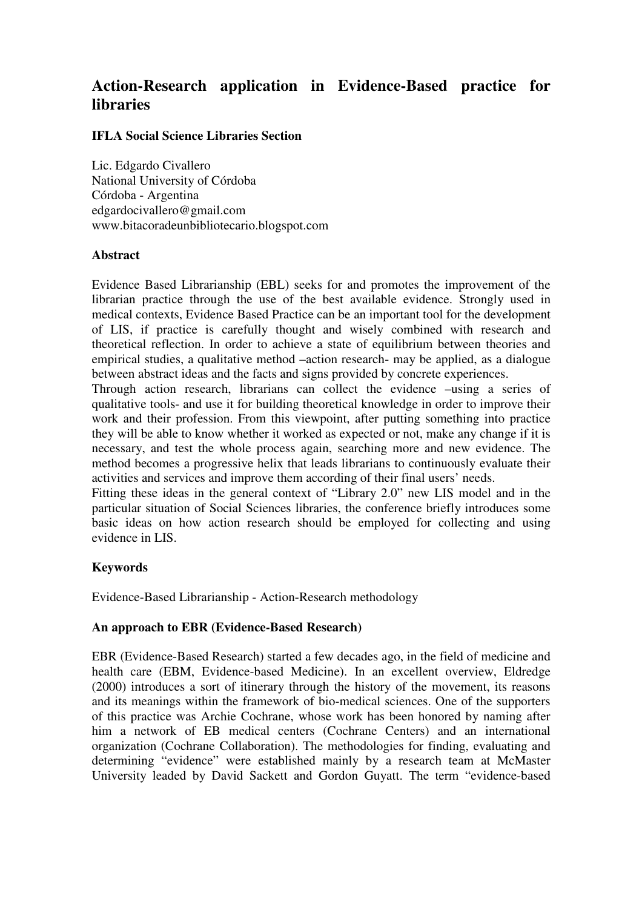# **Action-Research application in Evidence-Based practice for libraries**

## **IFLA Social Science Libraries Section**

Lic. Edgardo Civallero National University of Córdoba Córdoba - Argentina edgardocivallero@gmail.com www.bitacoradeunbibliotecario.blogspot.com

### **Abstract**

Evidence Based Librarianship (EBL) seeks for and promotes the improvement of the librarian practice through the use of the best available evidence. Strongly used in medical contexts, Evidence Based Practice can be an important tool for the development of LIS, if practice is carefully thought and wisely combined with research and theoretical reflection. In order to achieve a state of equilibrium between theories and empirical studies, a qualitative method –action research- may be applied, as a dialogue between abstract ideas and the facts and signs provided by concrete experiences.

Through action research, librarians can collect the evidence –using a series of qualitative tools- and use it for building theoretical knowledge in order to improve their work and their profession. From this viewpoint, after putting something into practice they will be able to know whether it worked as expected or not, make any change if it is necessary, and test the whole process again, searching more and new evidence. The method becomes a progressive helix that leads librarians to continuously evaluate their activities and services and improve them according of their final users' needs.

Fitting these ideas in the general context of "Library 2.0" new LIS model and in the particular situation of Social Sciences libraries, the conference briefly introduces some basic ideas on how action research should be employed for collecting and using evidence in LIS.

# **Keywords**

Evidence-Based Librarianship - Action-Research methodology

### **An approach to EBR (Evidence-Based Research)**

EBR (Evidence-Based Research) started a few decades ago, in the field of medicine and health care (EBM, Evidence-based Medicine). In an excellent overview, Eldredge (2000) introduces a sort of itinerary through the history of the movement, its reasons and its meanings within the framework of bio-medical sciences. One of the supporters of this practice was Archie Cochrane, whose work has been honored by naming after him a network of EB medical centers (Cochrane Centers) and an international organization (Cochrane Collaboration). The methodologies for finding, evaluating and determining "evidence" were established mainly by a research team at McMaster University leaded by David Sackett and Gordon Guyatt. The term "evidence-based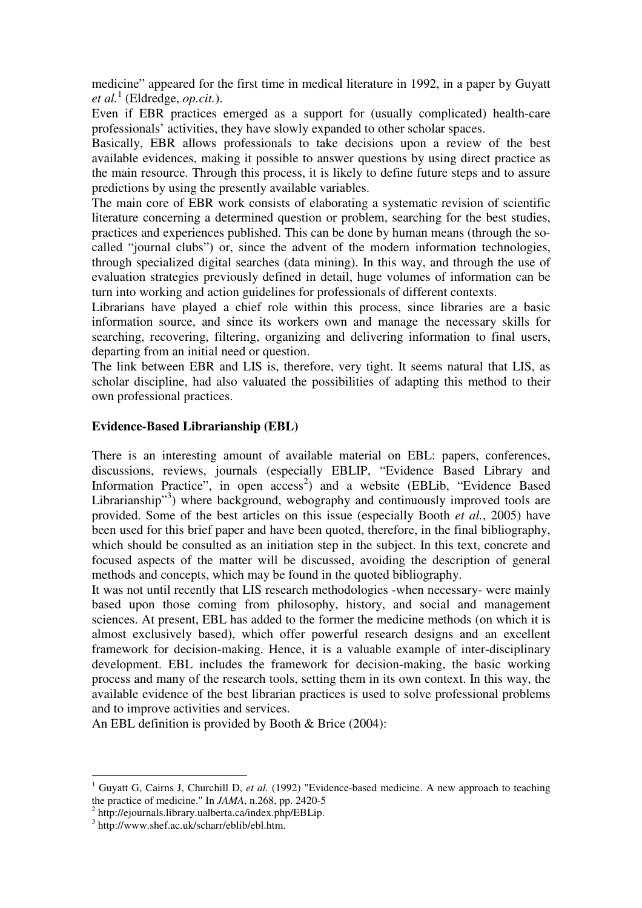medicine" appeared for the first time in medical literature in 1992, in a paper by Guyatt *et al.*<sup>1</sup> (Eldredge, *op.cit.*).

Even if EBR practices emerged as a support for (usually complicated) health-care professionals' activities, they have slowly expanded to other scholar spaces.

Basically, EBR allows professionals to take decisions upon a review of the best available evidences, making it possible to answer questions by using direct practice as the main resource. Through this process, it is likely to define future steps and to assure predictions by using the presently available variables.

The main core of EBR work consists of elaborating a systematic revision of scientific literature concerning a determined question or problem, searching for the best studies, practices and experiences published. This can be done by human means (through the socalled "journal clubs") or, since the advent of the modern information technologies, through specialized digital searches (data mining). In this way, and through the use of evaluation strategies previously defined in detail, huge volumes of information can be turn into working and action guidelines for professionals of different contexts.

Librarians have played a chief role within this process, since libraries are a basic information source, and since its workers own and manage the necessary skills for searching, recovering, filtering, organizing and delivering information to final users, departing from an initial need or question.

The link between EBR and LIS is, therefore, very tight. It seems natural that LIS, as scholar discipline, had also valuated the possibilities of adapting this method to their own professional practices.

## **Evidence-Based Librarianship (EBL)**

There is an interesting amount of available material on EBL: papers, conferences, discussions, reviews, journals (especially EBLIP, "Evidence Based Library and Information Practice", in open  $access^2$ ) and a website (EBLib, "Evidence Based Librarianship"<sup>3</sup>) where background, webography and continuously improved tools are provided. Some of the best articles on this issue (especially Booth *et al.*, 2005) have been used for this brief paper and have been quoted, therefore, in the final bibliography, which should be consulted as an initiation step in the subject. In this text, concrete and focused aspects of the matter will be discussed, avoiding the description of general methods and concepts, which may be found in the quoted bibliography.

It was not until recently that LIS research methodologies -when necessary- were mainly based upon those coming from philosophy, history, and social and management sciences. At present, EBL has added to the former the medicine methods (on which it is almost exclusively based), which offer powerful research designs and an excellent framework for decision-making. Hence, it is a valuable example of inter-disciplinary development. EBL includes the framework for decision-making, the basic working process and many of the research tools, setting them in its own context. In this way, the available evidence of the best librarian practices is used to solve professional problems and to improve activities and services.

An EBL definition is provided by Booth & Brice (2004):

<sup>&</sup>lt;sup>1</sup> Guyatt G, Cairns J, Churchill D, *et al.* (1992) "Evidence-based medicine. A new approach to teaching the practice of medicine." In *JAMA*, n.268, pp. 2420-5

<sup>&</sup>lt;sup>2</sup> http://ejournals.library.ualberta.ca/index.php/EBLip.

<sup>3</sup> http://www.shef.ac.uk/scharr/eblib/ebl.htm.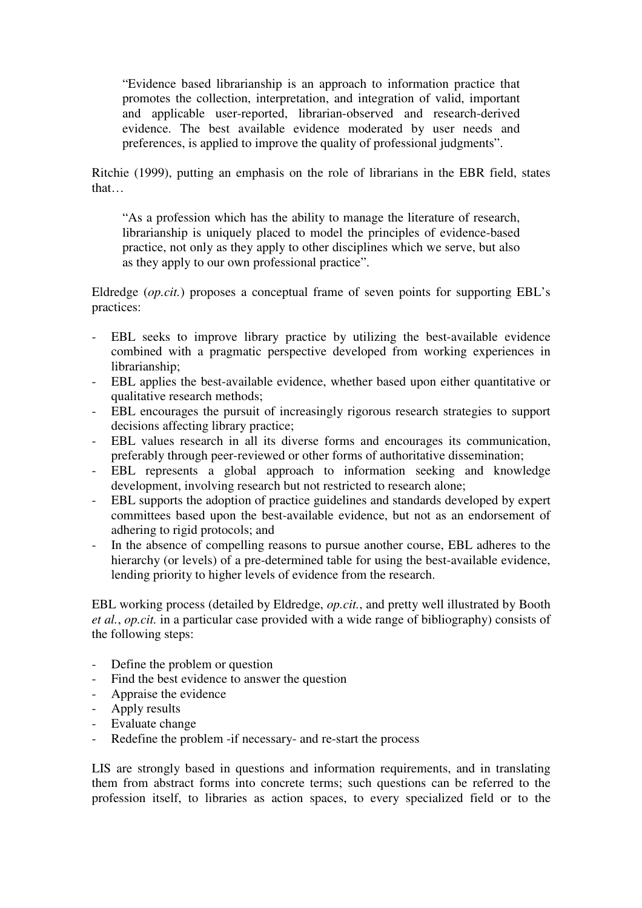"Evidence based librarianship is an approach to information practice that promotes the collection, interpretation, and integration of valid, important and applicable user-reported, librarian-observed and research-derived evidence. The best available evidence moderated by user needs and preferences, is applied to improve the quality of professional judgments".

Ritchie (1999), putting an emphasis on the role of librarians in the EBR field, states that…

"As a profession which has the ability to manage the literature of research, librarianship is uniquely placed to model the principles of evidence-based practice, not only as they apply to other disciplines which we serve, but also as they apply to our own professional practice".

Eldredge (*op.cit.*) proposes a conceptual frame of seven points for supporting EBL's practices:

- EBL seeks to improve library practice by utilizing the best-available evidence combined with a pragmatic perspective developed from working experiences in librarianship;
- EBL applies the best-available evidence, whether based upon either quantitative or qualitative research methods;
- EBL encourages the pursuit of increasingly rigorous research strategies to support decisions affecting library practice;
- EBL values research in all its diverse forms and encourages its communication, preferably through peer-reviewed or other forms of authoritative dissemination;
- EBL represents a global approach to information seeking and knowledge development, involving research but not restricted to research alone;
- EBL supports the adoption of practice guidelines and standards developed by expert committees based upon the best-available evidence, but not as an endorsement of adhering to rigid protocols; and
- In the absence of compelling reasons to pursue another course, EBL adheres to the hierarchy (or levels) of a pre-determined table for using the best-available evidence, lending priority to higher levels of evidence from the research.

EBL working process (detailed by Eldredge, *op.cit.*, and pretty well illustrated by Booth *et al.*, *op.cit.* in a particular case provided with a wide range of bibliography) consists of the following steps:

- Define the problem or question
- Find the best evidence to answer the question
- Appraise the evidence
- Apply results
- Evaluate change
- Redefine the problem -if necessary- and re-start the process

LIS are strongly based in questions and information requirements, and in translating them from abstract forms into concrete terms; such questions can be referred to the profession itself, to libraries as action spaces, to every specialized field or to the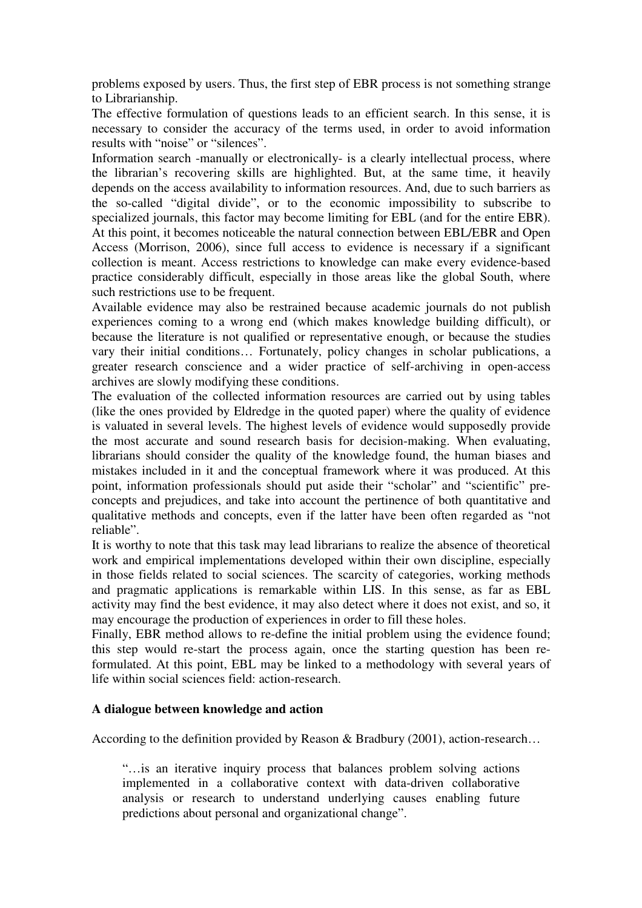problems exposed by users. Thus, the first step of EBR process is not something strange to Librarianship.

The effective formulation of questions leads to an efficient search. In this sense, it is necessary to consider the accuracy of the terms used, in order to avoid information results with "noise" or "silences".

Information search -manually or electronically- is a clearly intellectual process, where the librarian's recovering skills are highlighted. But, at the same time, it heavily depends on the access availability to information resources. And, due to such barriers as the so-called "digital divide", or to the economic impossibility to subscribe to specialized journals, this factor may become limiting for EBL (and for the entire EBR). At this point, it becomes noticeable the natural connection between EBL/EBR and Open Access (Morrison, 2006), since full access to evidence is necessary if a significant collection is meant. Access restrictions to knowledge can make every evidence-based practice considerably difficult, especially in those areas like the global South, where such restrictions use to be frequent.

Available evidence may also be restrained because academic journals do not publish experiences coming to a wrong end (which makes knowledge building difficult), or because the literature is not qualified or representative enough, or because the studies vary their initial conditions… Fortunately, policy changes in scholar publications, a greater research conscience and a wider practice of self-archiving in open-access archives are slowly modifying these conditions.

The evaluation of the collected information resources are carried out by using tables (like the ones provided by Eldredge in the quoted paper) where the quality of evidence is valuated in several levels. The highest levels of evidence would supposedly provide the most accurate and sound research basis for decision-making. When evaluating, librarians should consider the quality of the knowledge found, the human biases and mistakes included in it and the conceptual framework where it was produced. At this point, information professionals should put aside their "scholar" and "scientific" preconcepts and prejudices, and take into account the pertinence of both quantitative and qualitative methods and concepts, even if the latter have been often regarded as "not reliable".

It is worthy to note that this task may lead librarians to realize the absence of theoretical work and empirical implementations developed within their own discipline, especially in those fields related to social sciences. The scarcity of categories, working methods and pragmatic applications is remarkable within LIS. In this sense, as far as EBL activity may find the best evidence, it may also detect where it does not exist, and so, it may encourage the production of experiences in order to fill these holes.

Finally, EBR method allows to re-define the initial problem using the evidence found; this step would re-start the process again, once the starting question has been reformulated. At this point, EBL may be linked to a methodology with several years of life within social sciences field: action-research.

### **A dialogue between knowledge and action**

According to the definition provided by Reason & Bradbury (2001), action-research...

"…is an iterative inquiry process that balances problem solving actions implemented in a collaborative context with data-driven collaborative analysis or research to understand underlying causes enabling future predictions about personal and organizational change".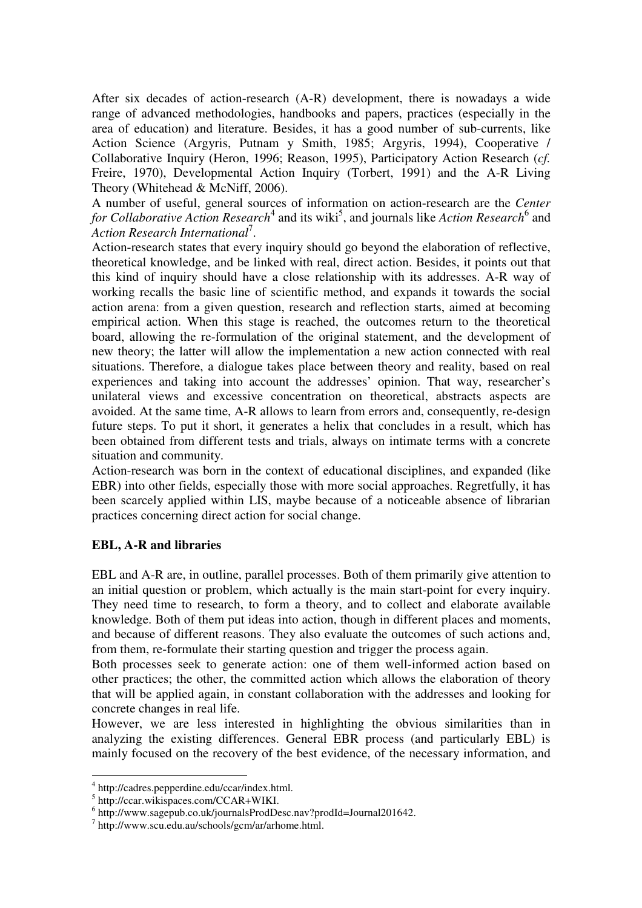After six decades of action-research (A-R) development, there is nowadays a wide range of advanced methodologies, handbooks and papers, practices (especially in the area of education) and literature. Besides, it has a good number of sub-currents, like Action Science (Argyris, Putnam y Smith, 1985; Argyris, 1994), Cooperative / Collaborative Inquiry (Heron, 1996; Reason, 1995), Participatory Action Research (*cf.* Freire, 1970), Developmental Action Inquiry (Torbert, 1991) and the A-R Living Theory (Whitehead & McNiff, 2006).

A number of useful, general sources of information on action-research are the *Center*  for Collaborative Action Research<sup>4</sup> and its wiki<sup>5</sup>, and journals like Action Research<sup>6</sup> and *Action Research International*<sup>7</sup> .

Action-research states that every inquiry should go beyond the elaboration of reflective, theoretical knowledge, and be linked with real, direct action. Besides, it points out that this kind of inquiry should have a close relationship with its addresses. A-R way of working recalls the basic line of scientific method, and expands it towards the social action arena: from a given question, research and reflection starts, aimed at becoming empirical action. When this stage is reached, the outcomes return to the theoretical board, allowing the re-formulation of the original statement, and the development of new theory; the latter will allow the implementation a new action connected with real situations. Therefore, a dialogue takes place between theory and reality, based on real experiences and taking into account the addresses' opinion. That way, researcher's unilateral views and excessive concentration on theoretical, abstracts aspects are avoided. At the same time, A-R allows to learn from errors and, consequently, re-design future steps. To put it short, it generates a helix that concludes in a result, which has been obtained from different tests and trials, always on intimate terms with a concrete situation and community.

Action-research was born in the context of educational disciplines, and expanded (like EBR) into other fields, especially those with more social approaches. Regretfully, it has been scarcely applied within LIS, maybe because of a noticeable absence of librarian practices concerning direct action for social change.

# **EBL, A-R and libraries**

EBL and A-R are, in outline, parallel processes. Both of them primarily give attention to an initial question or problem, which actually is the main start-point for every inquiry. They need time to research, to form a theory, and to collect and elaborate available knowledge. Both of them put ideas into action, though in different places and moments, and because of different reasons. They also evaluate the outcomes of such actions and, from them, re-formulate their starting question and trigger the process again.

Both processes seek to generate action: one of them well-informed action based on other practices; the other, the committed action which allows the elaboration of theory that will be applied again, in constant collaboration with the addresses and looking for concrete changes in real life.

However, we are less interested in highlighting the obvious similarities than in analyzing the existing differences. General EBR process (and particularly EBL) is mainly focused on the recovery of the best evidence, of the necessary information, and

 4 http://cadres.pepperdine.edu/ccar/index.html.

<sup>5</sup> http://ccar.wikispaces.com/CCAR+WIKI.

<sup>6</sup> http://www.sagepub.co.uk/journalsProdDesc.nav?prodId=Journal201642.

<sup>7</sup> http://www.scu.edu.au/schools/gcm/ar/arhome.html.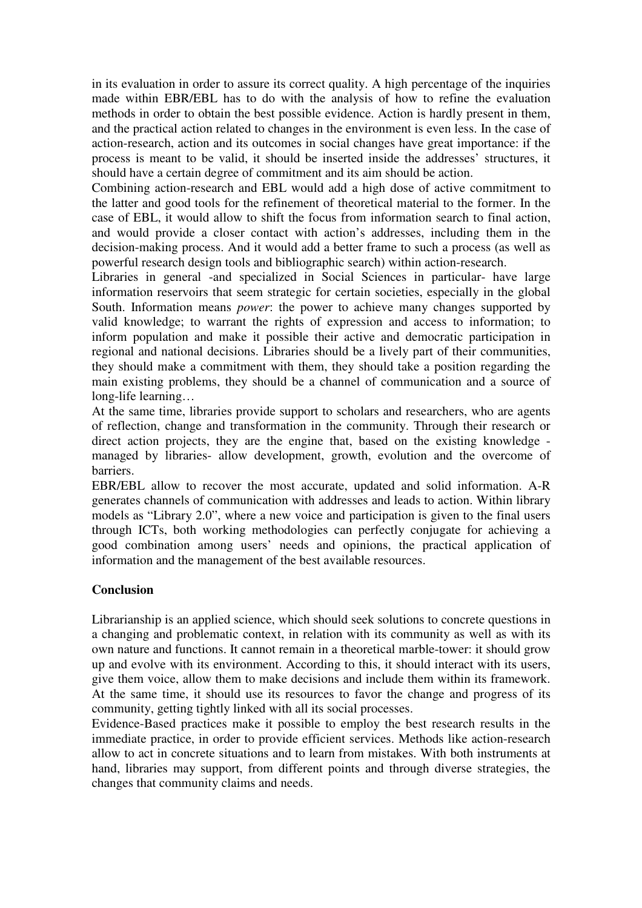in its evaluation in order to assure its correct quality. A high percentage of the inquiries made within EBR/EBL has to do with the analysis of how to refine the evaluation methods in order to obtain the best possible evidence. Action is hardly present in them, and the practical action related to changes in the environment is even less. In the case of action-research, action and its outcomes in social changes have great importance: if the process is meant to be valid, it should be inserted inside the addresses' structures, it should have a certain degree of commitment and its aim should be action.

Combining action-research and EBL would add a high dose of active commitment to the latter and good tools for the refinement of theoretical material to the former. In the case of EBL, it would allow to shift the focus from information search to final action, and would provide a closer contact with action's addresses, including them in the decision-making process. And it would add a better frame to such a process (as well as powerful research design tools and bibliographic search) within action-research.

Libraries in general -and specialized in Social Sciences in particular- have large information reservoirs that seem strategic for certain societies, especially in the global South. Information means *power*: the power to achieve many changes supported by valid knowledge; to warrant the rights of expression and access to information; to inform population and make it possible their active and democratic participation in regional and national decisions. Libraries should be a lively part of their communities, they should make a commitment with them, they should take a position regarding the main existing problems, they should be a channel of communication and a source of long-life learning…

At the same time, libraries provide support to scholars and researchers, who are agents of reflection, change and transformation in the community. Through their research or direct action projects, they are the engine that, based on the existing knowledge managed by libraries- allow development, growth, evolution and the overcome of barriers.

EBR/EBL allow to recover the most accurate, updated and solid information. A-R generates channels of communication with addresses and leads to action. Within library models as "Library 2.0", where a new voice and participation is given to the final users through ICTs, both working methodologies can perfectly conjugate for achieving a good combination among users' needs and opinions, the practical application of information and the management of the best available resources.

# **Conclusion**

Librarianship is an applied science, which should seek solutions to concrete questions in a changing and problematic context, in relation with its community as well as with its own nature and functions. It cannot remain in a theoretical marble-tower: it should grow up and evolve with its environment. According to this, it should interact with its users, give them voice, allow them to make decisions and include them within its framework. At the same time, it should use its resources to favor the change and progress of its community, getting tightly linked with all its social processes.

Evidence-Based practices make it possible to employ the best research results in the immediate practice, in order to provide efficient services. Methods like action-research allow to act in concrete situations and to learn from mistakes. With both instruments at hand, libraries may support, from different points and through diverse strategies, the changes that community claims and needs.